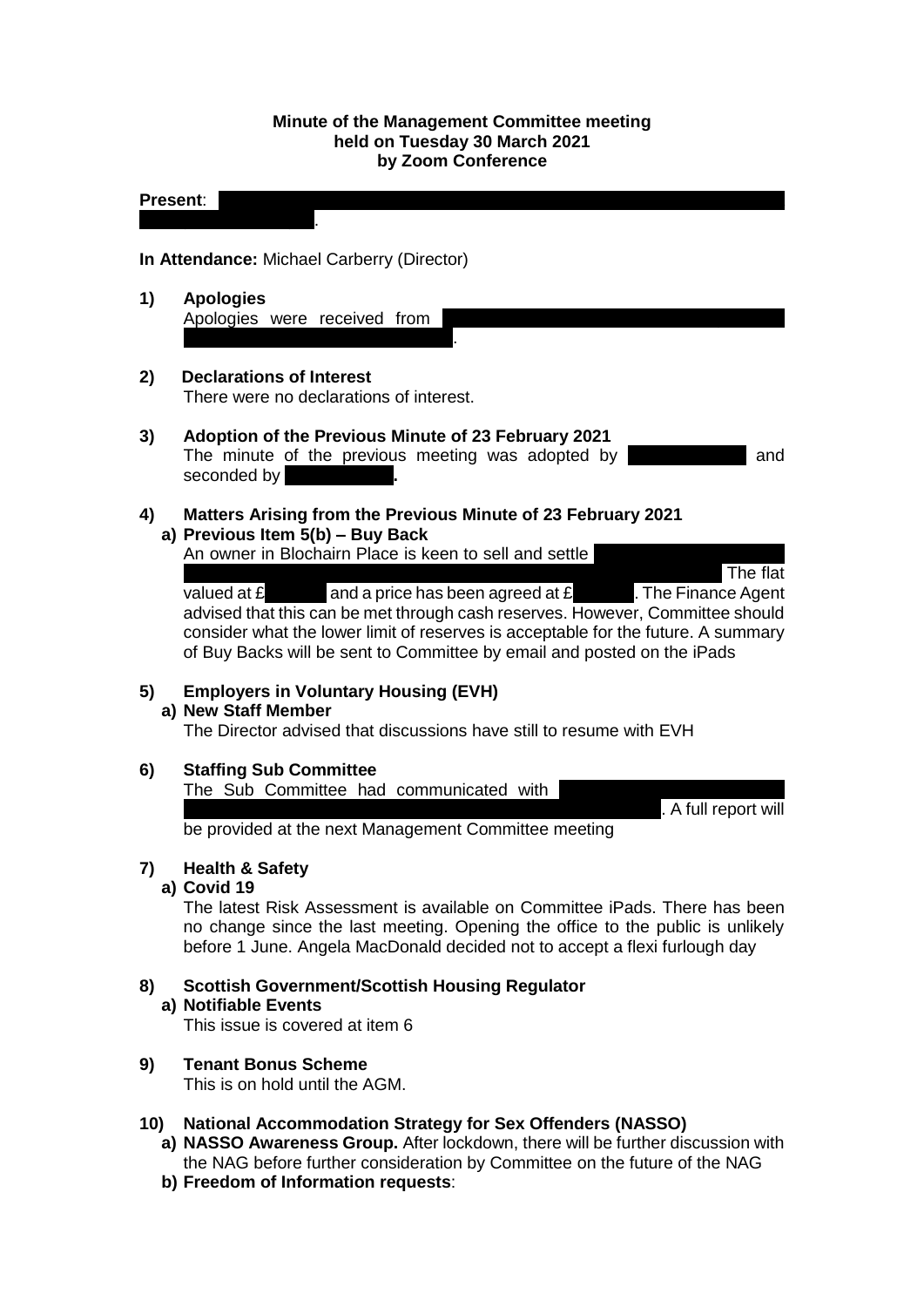#### **Minute of the Management Committee meeting held on Tuesday 30 March 2021 by Zoom Conference**

#### **Present:** Manal Eshelli; Sakina Masih; Sheena Stephen; Sheena Stephen; Sheena Stephen; Sheena Stephen; Olgan Stephen; Olgan Stephen; Olgan Stephen; Sheena Stephen; Olgan Stephen; Olgan Stephen; Olgan Stephen; Olgan Stephe

Vassiljeva; Ewa Wojcik.

**In Attendance:** Michael Carberry (Director)

- **1) Apologies** Apologies were received from Catherine Neil and Frances Tierney.
- **2) Declarations of Interest** There were no declarations of interest.

# **3) Adoption of the Previous Minute of 23 February 2021**

The minute of the previous meeting was adopted by **Alleman Republic** and seconded by

## **4) Matters Arising from the Previous Minute of 23 February 2021 a) Previous Item 5(b) – Buy Back**

An owner in Blochairn Place is keen to sell and settle

Stamp Duty (suspended during locked during locked during locked in April, 1999). The flat valued at  $\mathbf{f}$  and a price has been agreed at  $\mathbf{f}$  The Finance Agent advised that this can be met through cash reserves. However, Committee should consider what the lower limit of reserves is acceptable for the future. A summary of Buy Backs will be sent to Committee by email and posted on the iPads

# **5) Employers in Voluntary Housing (EVH)**

## **a) New Staff Member**

The Director advised that discussions have still to resume with EVH

# **6) Staffing Sub Committee**

The Sub Committee had communicated with

. A full report will

be provided at the next Management Committee meeting

# **7) Health & Safety**

# **a) Covid 19**

The latest Risk Assessment is available on Committee iPads. There has been no change since the last meeting. Opening the office to the public is unlikely before 1 June. Angela MacDonald decided not to accept a flexi furlough day

# **8) Scottish Government/Scottish Housing Regulator**

## **a) Notifiable Events**

This issue is covered at item 6

# **9) Tenant Bonus Scheme**

This is on hold until the AGM.

## **10) National Accommodation Strategy for Sex Offenders (NASSO)**

- **a) NASSO Awareness Group.** After lockdown, there will be further discussion with the NAG before further consideration by Committee on the future of the NAG
- **b) Freedom of Information requests**: